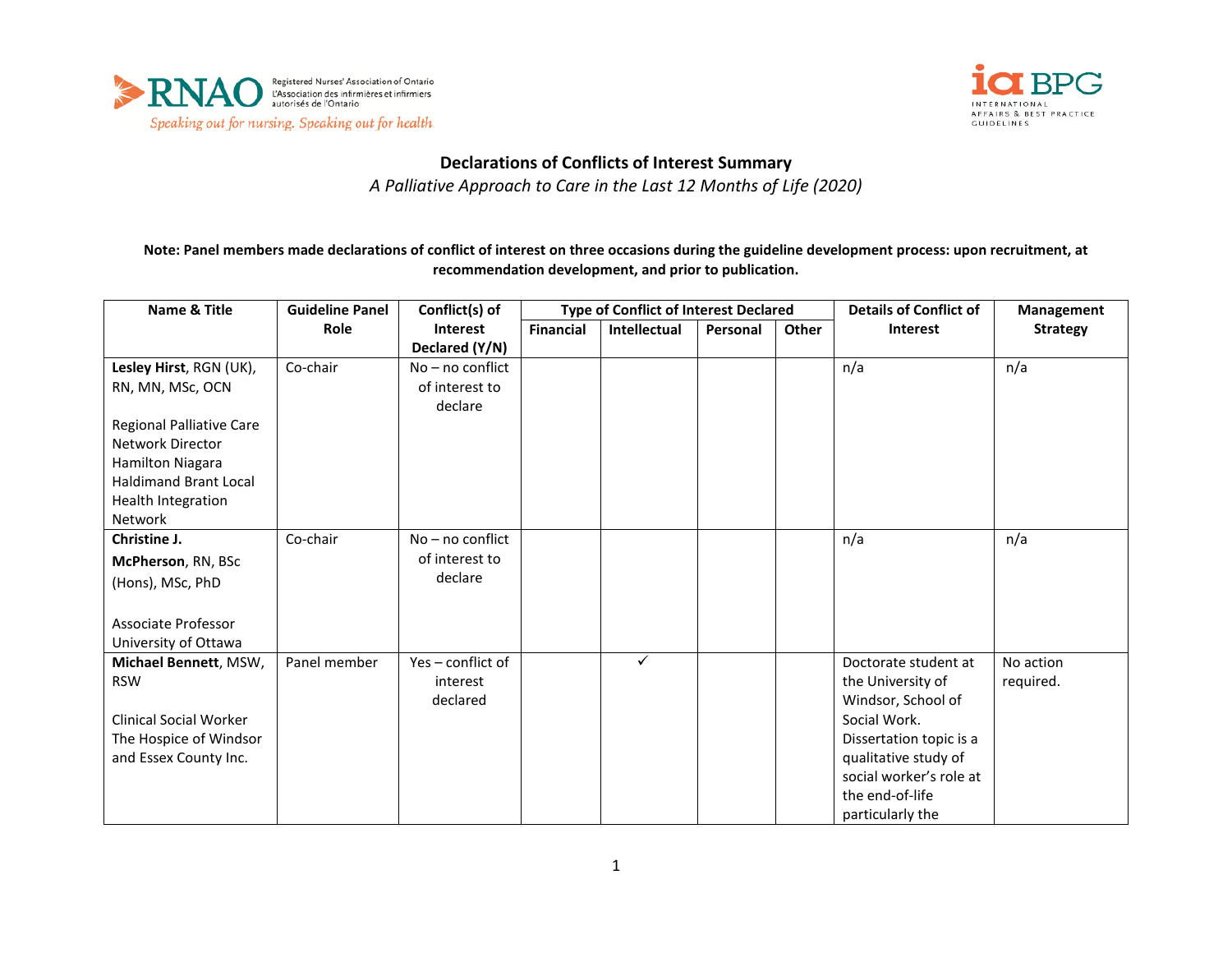



## **Declarations of Conflicts of Interest Summary**

*A Palliative Approach to Care in the Last 12 Months of Life (2020)*

**Note: Panel members made declarations of conflict of interest on three occasions during the guideline development process: upon recruitment, at recommendation development, and prior to publication.**

| <b>Name &amp; Title</b>         | <b>Guideline Panel</b> | Conflict(s) of            | <b>Type of Conflict of Interest Declared</b> |              |          | <b>Details of Conflict of</b> | Management              |                 |
|---------------------------------|------------------------|---------------------------|----------------------------------------------|--------------|----------|-------------------------------|-------------------------|-----------------|
|                                 | Role                   | <b>Interest</b>           | <b>Financial</b>                             | Intellectual | Personal | <b>Other</b>                  | <b>Interest</b>         | <b>Strategy</b> |
|                                 |                        | Declared (Y/N)            |                                              |              |          |                               |                         |                 |
| Lesley Hirst, RGN (UK),         | Co-chair               | $No - no$ conflict        |                                              |              |          |                               | n/a                     | n/a             |
| RN, MN, MSc, OCN                |                        | of interest to<br>declare |                                              |              |          |                               |                         |                 |
| <b>Regional Palliative Care</b> |                        |                           |                                              |              |          |                               |                         |                 |
| <b>Network Director</b>         |                        |                           |                                              |              |          |                               |                         |                 |
| Hamilton Niagara                |                        |                           |                                              |              |          |                               |                         |                 |
| <b>Haldimand Brant Local</b>    |                        |                           |                                              |              |          |                               |                         |                 |
| Health Integration              |                        |                           |                                              |              |          |                               |                         |                 |
| <b>Network</b>                  |                        |                           |                                              |              |          |                               |                         |                 |
| Christine J.                    | Co-chair               | No - no conflict          |                                              |              |          |                               | n/a                     | n/a             |
| McPherson, RN, BSc              |                        | of interest to            |                                              |              |          |                               |                         |                 |
| (Hons), MSc, PhD                |                        | declare                   |                                              |              |          |                               |                         |                 |
|                                 |                        |                           |                                              |              |          |                               |                         |                 |
| Associate Professor             |                        |                           |                                              |              |          |                               |                         |                 |
| University of Ottawa            |                        |                           |                                              |              |          |                               |                         |                 |
| Michael Bennett, MSW,           | Panel member           | Yes - conflict of         |                                              | $\checkmark$ |          |                               | Doctorate student at    | No action       |
| <b>RSW</b>                      |                        | interest                  |                                              |              |          |                               | the University of       | required.       |
|                                 |                        | declared                  |                                              |              |          |                               | Windsor, School of      |                 |
| <b>Clinical Social Worker</b>   |                        |                           |                                              |              |          |                               | Social Work.            |                 |
| The Hospice of Windsor          |                        |                           |                                              |              |          |                               | Dissertation topic is a |                 |
| and Essex County Inc.           |                        |                           |                                              |              |          |                               | qualitative study of    |                 |
|                                 |                        |                           |                                              |              |          |                               | social worker's role at |                 |
|                                 |                        |                           |                                              |              |          |                               | the end-of-life         |                 |
|                                 |                        |                           |                                              |              |          |                               | particularly the        |                 |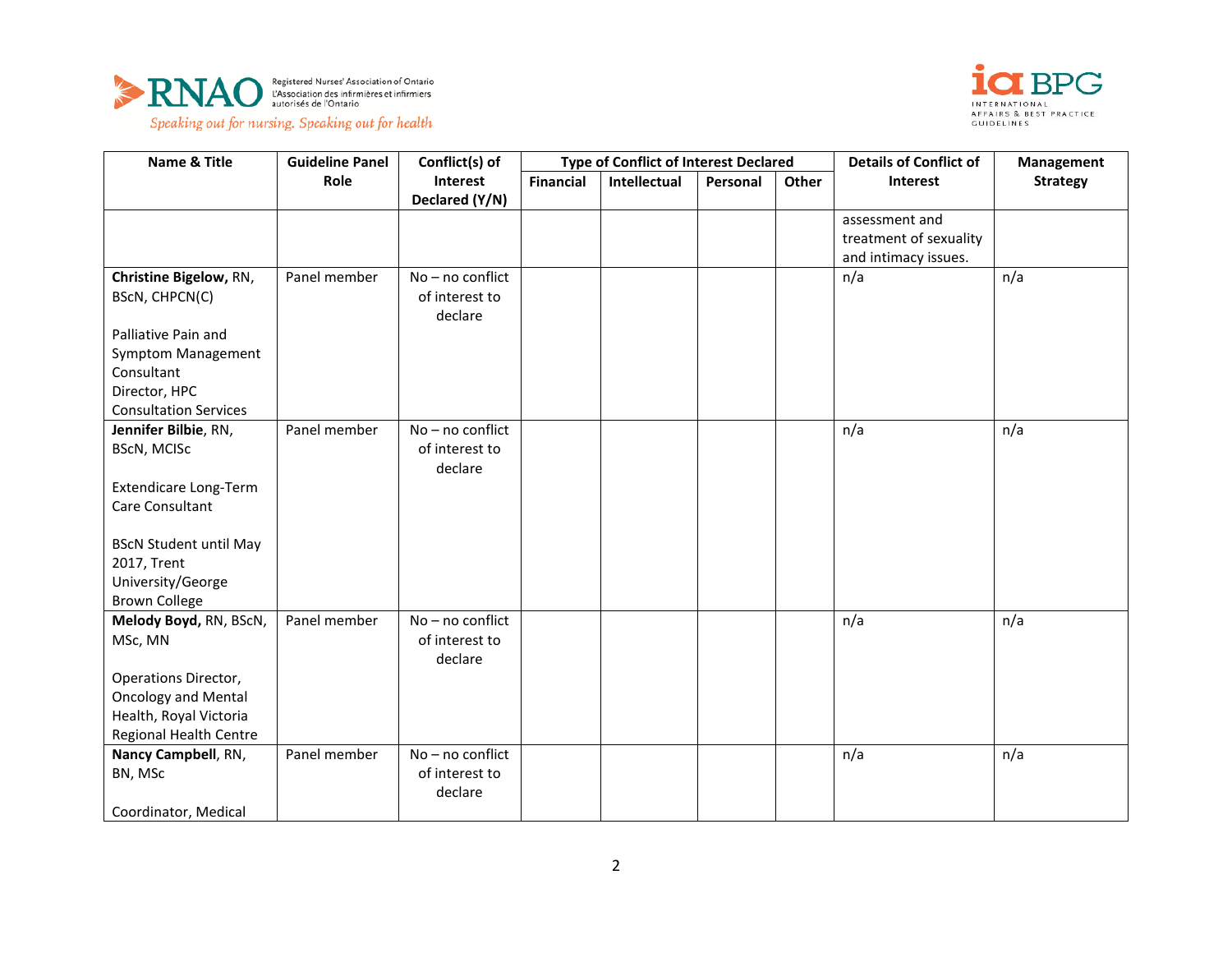



| Name & Title                                                                              | <b>Guideline Panel</b> | Conflict(s) of                                | <b>Type of Conflict of Interest Declared</b> |              |          | <b>Details of Conflict of</b> | Management                                                       |                 |
|-------------------------------------------------------------------------------------------|------------------------|-----------------------------------------------|----------------------------------------------|--------------|----------|-------------------------------|------------------------------------------------------------------|-----------------|
|                                                                                           | Role                   | Interest<br>Declared (Y/N)                    | <b>Financial</b>                             | Intellectual | Personal | Other                         | <b>Interest</b>                                                  | <b>Strategy</b> |
|                                                                                           |                        |                                               |                                              |              |          |                               | assessment and<br>treatment of sexuality<br>and intimacy issues. |                 |
| Christine Bigelow, RN,<br>BScN, CHPCN(C)                                                  | Panel member           | No - no conflict<br>of interest to<br>declare |                                              |              |          |                               | n/a                                                              | n/a             |
| Palliative Pain and<br><b>Symptom Management</b><br>Consultant<br>Director, HPC           |                        |                                               |                                              |              |          |                               |                                                                  |                 |
| <b>Consultation Services</b>                                                              |                        |                                               |                                              |              |          |                               |                                                                  |                 |
| Jennifer Bilbie, RN,<br><b>BScN, MCISc</b><br>Extendicare Long-Term<br>Care Consultant    | Panel member           | No - no conflict<br>of interest to<br>declare |                                              |              |          |                               | n/a                                                              | n/a             |
| <b>BScN Student until May</b><br>2017, Trent<br>University/George<br><b>Brown College</b> |                        |                                               |                                              |              |          |                               |                                                                  |                 |
| Melody Boyd, RN, BScN,<br>MSc, MN<br>Operations Director,                                 | Panel member           | No - no conflict<br>of interest to<br>declare |                                              |              |          |                               | n/a                                                              | n/a             |
| <b>Oncology and Mental</b><br>Health, Royal Victoria<br>Regional Health Centre            |                        |                                               |                                              |              |          |                               |                                                                  |                 |
| Nancy Campbell, RN,<br>BN, MSc<br>Coordinator, Medical                                    | Panel member           | No - no conflict<br>of interest to<br>declare |                                              |              |          |                               | n/a                                                              | n/a             |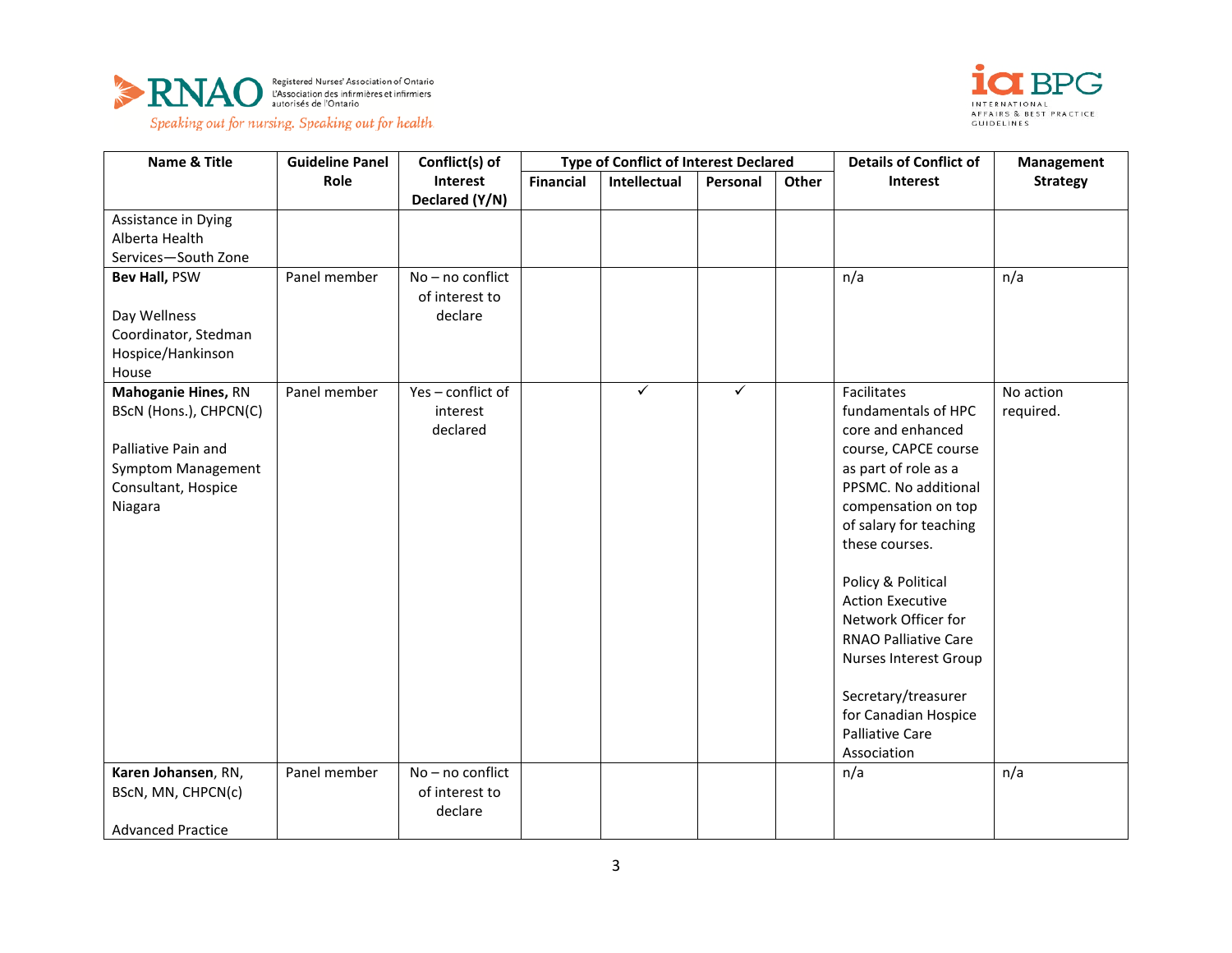



Speaking out for nursing. Speaking out for health.

| Name & Title               | <b>Guideline Panel</b> | Conflict(s) of                       | <b>Type of Conflict of Interest Declared</b> |              |              |       | <b>Details of Conflict of</b> | <b>Management</b> |
|----------------------------|------------------------|--------------------------------------|----------------------------------------------|--------------|--------------|-------|-------------------------------|-------------------|
|                            | Role                   | Interest                             | <b>Financial</b>                             | Intellectual | Personal     | Other | Interest                      | <b>Strategy</b>   |
|                            |                        | Declared (Y/N)                       |                                              |              |              |       |                               |                   |
| Assistance in Dying        |                        |                                      |                                              |              |              |       |                               |                   |
| Alberta Health             |                        |                                      |                                              |              |              |       |                               |                   |
| Services-South Zone        |                        |                                      |                                              |              |              |       |                               |                   |
| Bev Hall, PSW              | Panel member           | $No - no$ conflict<br>of interest to |                                              |              |              |       | n/a                           | n/a               |
| Day Wellness               |                        | declare                              |                                              |              |              |       |                               |                   |
| Coordinator, Stedman       |                        |                                      |                                              |              |              |       |                               |                   |
| Hospice/Hankinson<br>House |                        |                                      |                                              |              |              |       |                               |                   |
| <b>Mahoganie Hines, RN</b> | Panel member           | Yes-conflict of                      |                                              | $\checkmark$ | $\checkmark$ |       | Facilitates                   | No action         |
| BScN (Hons.), CHPCN(C)     |                        | interest                             |                                              |              |              |       | fundamentals of HPC           | required.         |
|                            |                        | declared                             |                                              |              |              |       | core and enhanced             |                   |
| Palliative Pain and        |                        |                                      |                                              |              |              |       | course, CAPCE course          |                   |
| Symptom Management         |                        |                                      |                                              |              |              |       | as part of role as a          |                   |
| Consultant, Hospice        |                        |                                      |                                              |              |              |       | PPSMC. No additional          |                   |
| Niagara                    |                        |                                      |                                              |              |              |       | compensation on top           |                   |
|                            |                        |                                      |                                              |              |              |       | of salary for teaching        |                   |
|                            |                        |                                      |                                              |              |              |       | these courses.                |                   |
|                            |                        |                                      |                                              |              |              |       | Policy & Political            |                   |
|                            |                        |                                      |                                              |              |              |       | <b>Action Executive</b>       |                   |
|                            |                        |                                      |                                              |              |              |       | Network Officer for           |                   |
|                            |                        |                                      |                                              |              |              |       | <b>RNAO Palliative Care</b>   |                   |
|                            |                        |                                      |                                              |              |              |       | Nurses Interest Group         |                   |
|                            |                        |                                      |                                              |              |              |       | Secretary/treasurer           |                   |
|                            |                        |                                      |                                              |              |              |       | for Canadian Hospice          |                   |
|                            |                        |                                      |                                              |              |              |       | <b>Palliative Care</b>        |                   |
|                            |                        |                                      |                                              |              |              |       | Association                   |                   |
| Karen Johansen, RN,        | Panel member           | No - no conflict                     |                                              |              |              |       | n/a                           | n/a               |
| BScN, MN, CHPCN(c)         |                        | of interest to<br>declare            |                                              |              |              |       |                               |                   |
| <b>Advanced Practice</b>   |                        |                                      |                                              |              |              |       |                               |                   |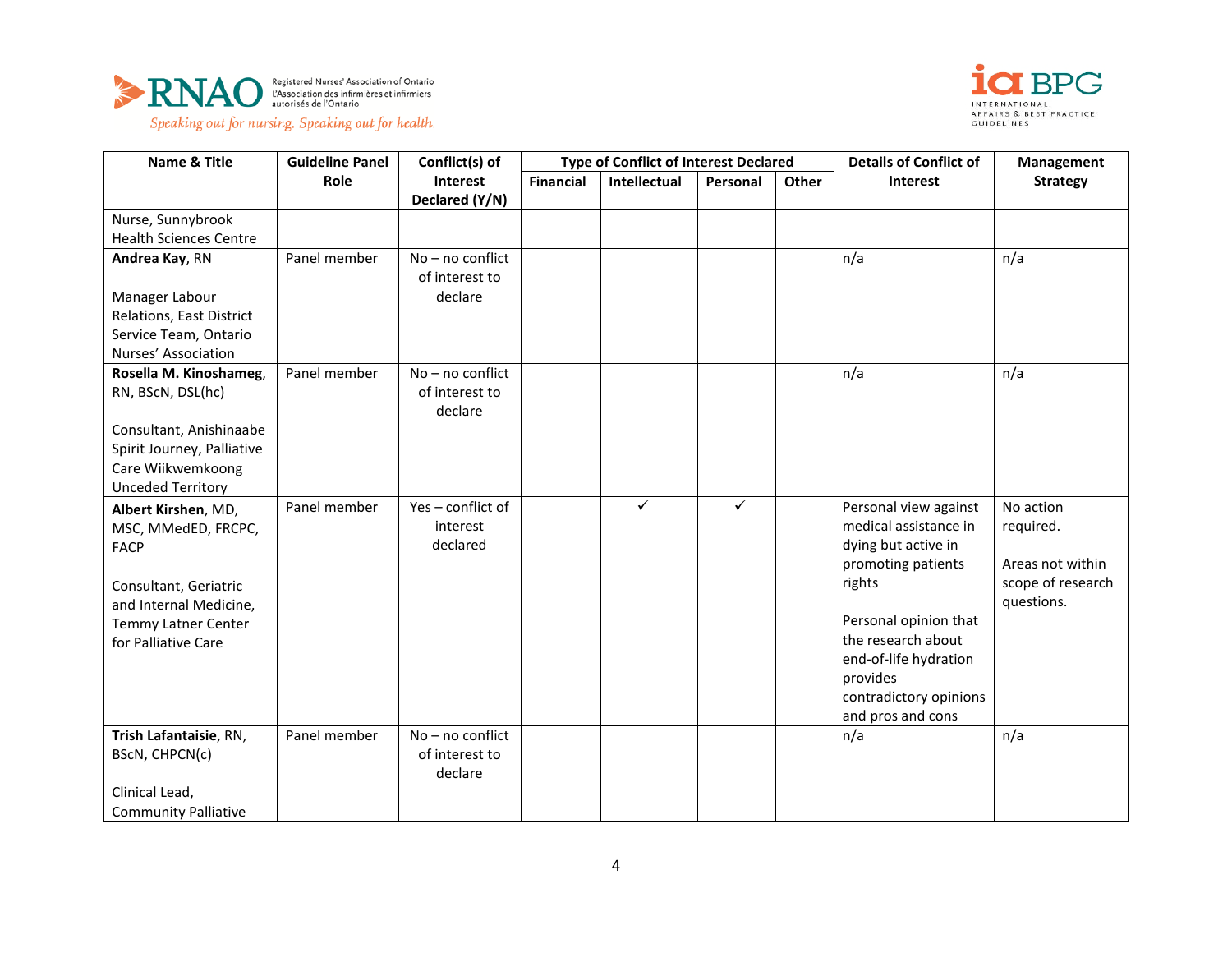





| <b>Name &amp; Title</b>       | <b>Guideline Panel</b> | Conflict(s) of                       | <b>Type of Conflict of Interest Declared</b> |              |          | <b>Details of Conflict of</b> | Management             |                   |
|-------------------------------|------------------------|--------------------------------------|----------------------------------------------|--------------|----------|-------------------------------|------------------------|-------------------|
|                               | Role                   | Interest                             | <b>Financial</b>                             | Intellectual | Personal | Other                         | <b>Interest</b>        | <b>Strategy</b>   |
|                               |                        | Declared (Y/N)                       |                                              |              |          |                               |                        |                   |
| Nurse, Sunnybrook             |                        |                                      |                                              |              |          |                               |                        |                   |
| <b>Health Sciences Centre</b> |                        |                                      |                                              |              |          |                               |                        |                   |
| Andrea Kay, RN                | Panel member           | $No - no$ conflict<br>of interest to |                                              |              |          |                               | n/a                    | n/a               |
| Manager Labour                |                        | declare                              |                                              |              |          |                               |                        |                   |
| Relations, East District      |                        |                                      |                                              |              |          |                               |                        |                   |
| Service Team, Ontario         |                        |                                      |                                              |              |          |                               |                        |                   |
| Nurses' Association           |                        |                                      |                                              |              |          |                               |                        |                   |
| Rosella M. Kinoshameg,        | Panel member           | No - no conflict                     |                                              |              |          |                               | n/a                    | n/a               |
| RN, BScN, DSL(hc)             |                        | of interest to<br>declare            |                                              |              |          |                               |                        |                   |
| Consultant, Anishinaabe       |                        |                                      |                                              |              |          |                               |                        |                   |
| Spirit Journey, Palliative    |                        |                                      |                                              |              |          |                               |                        |                   |
| Care Wiikwemkoong             |                        |                                      |                                              |              |          |                               |                        |                   |
| <b>Unceded Territory</b>      |                        |                                      |                                              |              |          |                               |                        |                   |
| Albert Kirshen, MD,           | Panel member           | Yes-conflict of                      |                                              | ✓            | ✓        |                               | Personal view against  | No action         |
| MSC, MMedED, FRCPC,           |                        | interest                             |                                              |              |          |                               | medical assistance in  | required.         |
| <b>FACP</b>                   |                        | declared                             |                                              |              |          |                               | dying but active in    |                   |
|                               |                        |                                      |                                              |              |          |                               | promoting patients     | Areas not within  |
| Consultant, Geriatric         |                        |                                      |                                              |              |          |                               | rights                 | scope of research |
| and Internal Medicine,        |                        |                                      |                                              |              |          |                               |                        | questions.        |
| Temmy Latner Center           |                        |                                      |                                              |              |          |                               | Personal opinion that  |                   |
| for Palliative Care           |                        |                                      |                                              |              |          |                               | the research about     |                   |
|                               |                        |                                      |                                              |              |          |                               | end-of-life hydration  |                   |
|                               |                        |                                      |                                              |              |          |                               | provides               |                   |
|                               |                        |                                      |                                              |              |          |                               | contradictory opinions |                   |
|                               |                        |                                      |                                              |              |          |                               | and pros and cons      |                   |
| Trish Lafantaisie, RN,        | Panel member           | No - no conflict                     |                                              |              |          |                               | n/a                    | n/a               |
| BScN, CHPCN(c)                |                        | of interest to                       |                                              |              |          |                               |                        |                   |
|                               |                        | declare                              |                                              |              |          |                               |                        |                   |
| Clinical Lead,                |                        |                                      |                                              |              |          |                               |                        |                   |
| <b>Community Palliative</b>   |                        |                                      |                                              |              |          |                               |                        |                   |